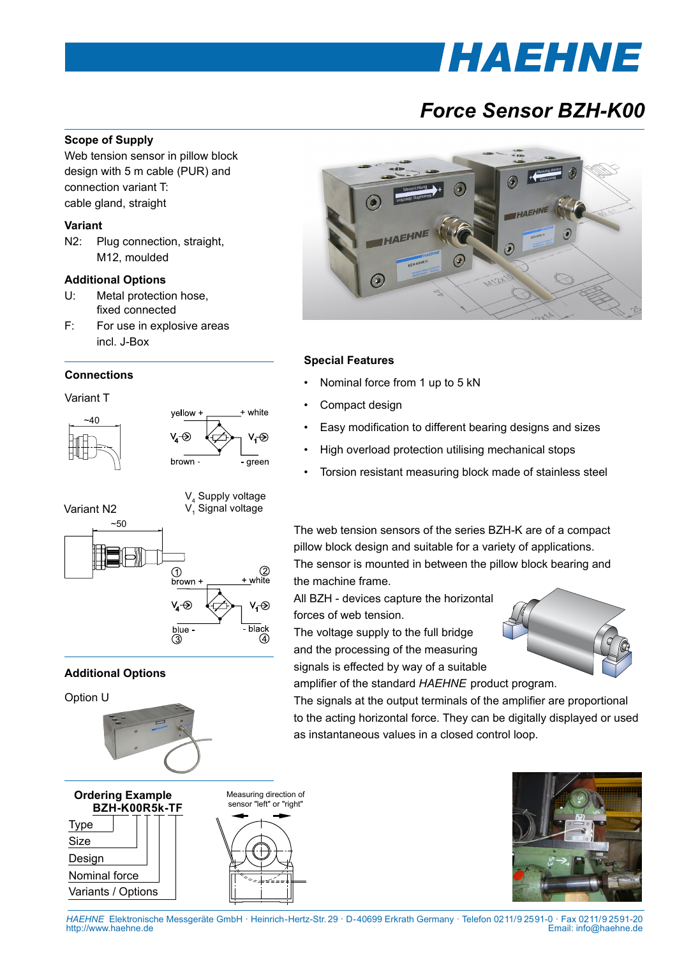# *THAEHNE*

# *Force Sensor BZH-K00*

#### **Scope of Supply**

Web tension sensor in pillow block design with 5 m cable (PUR) and connection variant T: cable gland, straight

#### **Variant**

N2: Plug connection, straight, M12, moulded

#### **Additional Options**

- U: Metal protection hose, fixed connected
- F: For use in explosive areas incl. J-Box

#### **Connections**







## **Additional Options**

Option U





Measuring direction of sensor "left" or "right"



### **Special Features**

- Nominal force from 1 up to 5 kN
- Compact design
- Easy modification to different bearing designs and sizes
- High overload protection utilising mechanical stops
- Torsion resistant measuring block made of stainless steel

The web tension sensors of the series BZH-K are of a compact pillow block design and suitable for a variety of applications. The sensor is mounted in between the pillow block bearing and the machine frame.

All BZH - devices capture the horizontal forces of web tension.

The voltage supply to the full bridge and the processing of the measuring signals is effected by way of a suitable amplifier of the standard *HAEHNE* product program.



The signals at the output terminals of the amplifier are proportional to the acting horizontal force. They can be digitally displayed or used as instantaneous values in a closed control loop.



*HAEHNE* Elektronische Messgeräte GmbH · Heinrich-Hertz-Str. 29 · D-40699 Erkrath Germany · Telefon 0211/9 25 91-0 · Fax 0211/9 25 91-20 Email: info@haehne.de